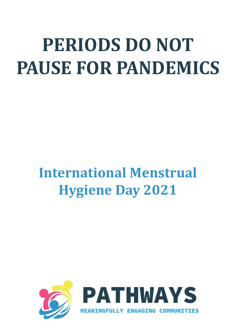## **PERIODS DO NOT PAUSE FOR PANDEMICS**

## **International Menstrual Hygiene Day 2021**

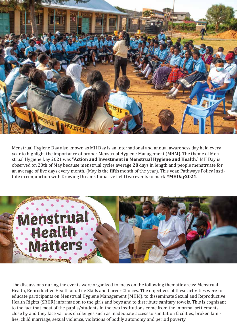

Menstrual Hygiene Day also known as MH Day is an international and annual awareness day held every year to highlight the importance of proper Menstrual Hygiene Management (MHM). The theme of Menstrual Hygiene Day 2021 was "**Action and Investment in Menstrual Hygiene and Health.**" MH Day is observed on 28th of May because menstrual cycles average **28** days in length and people menstruate for an average of �ive days every month. (May is the **�ifth** month of the year). This year, Pathways Policy Institute in conjunction with Drawing Dreams Initiative held two events to mark **#MHDay2021.**



The discussions during the events were organized to focus on the following thematic areas: Menstrual Health, Reproductive Health and Life Skills and Career Choices. The objectives of these activities were to educate participants on Menstrual Hygiene Management (MHM), to disseminate Sexual and Reproductive Health Rights (SRHR) information to the girls and boys and to distribute sanitary towels. This is cognizant to the fact that most of the pupils/students in the two institutions come from the informal settlements close by and they face various challenges such as inadequate access to sanitation facilities, broken families, child marriage, sexual violence, violations of bodily autonomy and period poverty.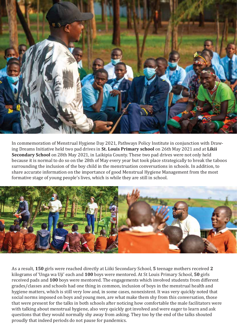

In commemoration of Menstrual Hygiene Day 2021, Pathways Policy Institute in conjunction with Drawing Dreams Initiative held two pad drives in **St. Louis Primary school** on 26th May 2021 and at **Likii Secondary School** on 28th May 2021, in Laikipia County. These two pad drives were not only held because it is normal to do so on the 28th of May every year but took place strategically to break the taboos surrounding the inclusion of the boy child in the menstruation conversations in schools. In addition, to share accurate information on the importance of good Menstrual Hygiene Management from the most formative stage of young people's lives, which is while they are still in school.



As a result, **150** girls were reached directly at Liiki Secondary School, **5** teenage mothers received **2**  kilograms of 'Unga wa Uji' each and **100** boys were mentored. At St Louis Primary School, **50** girls received pads and **100** boys were mentored. The engagements which involved students from different grades/classes and schools had one thing in common, inclusion of boys in the menstrual health and hygiene matters, which is still very low and, in some cases, nonexistent. It was very quickly noted that social norms imposed on boys and young men, are what make them shy from this conversation, those that were present for the talks in both schools after noticing how comfortable the male facilitators were with talking about menstrual hygiene, also very quickly got involved and were eager to learn and ask questions that they would normally shy away from asking. They too by the end of the talks shouted proudly that indeed periods do not pause for pandemics.